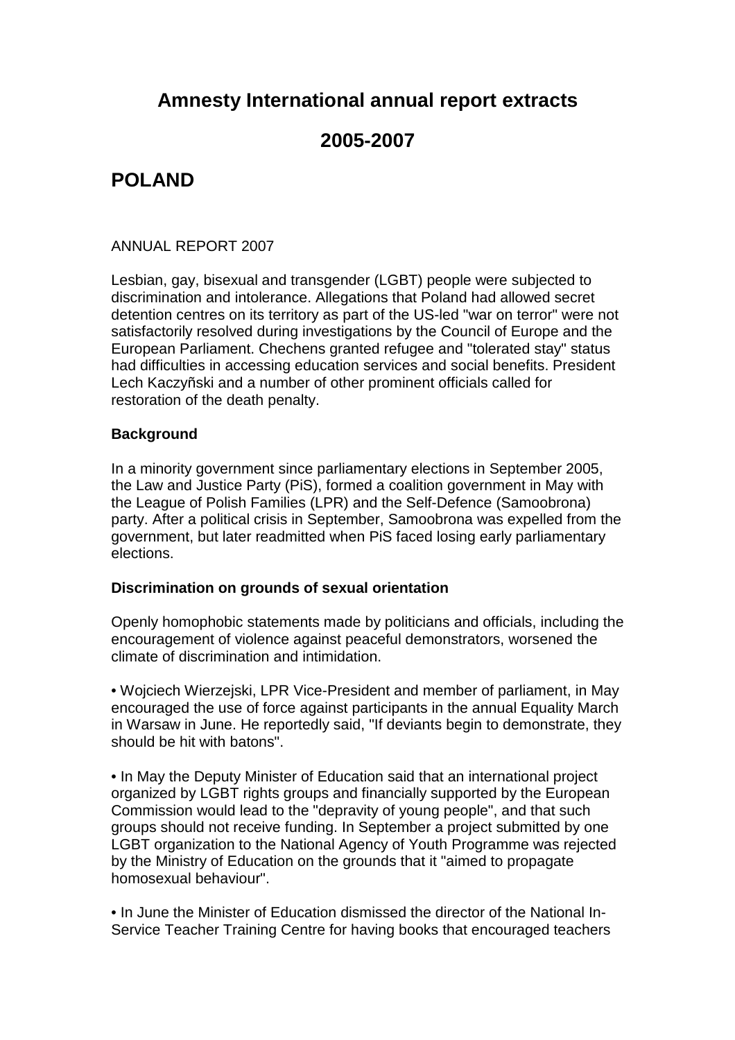# **Amnesty International annual report extracts**

# **2005-2007**

# **POLAND**

### ANNUAL REPORT 2007

Lesbian, gay, bisexual and transgender (LGBT) people were subjected to discrimination and intolerance. Allegations that Poland had allowed secret detention centres on its territory as part of the US-led "war on terror" were not satisfactorily resolved during investigations by the Council of Europe and the European Parliament. Chechens granted refugee and "tolerated stay" status had difficulties in accessing education services and social benefits. President Lech Kaczyñski and a number of other prominent officials called for restoration of the death penalty.

#### **Background**

In a minority government since parliamentary elections in September 2005, the Law and Justice Party (PiS), formed a coalition government in May with the League of Polish Families (LPR) and the Self-Defence (Samoobrona) party. After a political crisis in September, Samoobrona was expelled from the government, but later readmitted when PiS faced losing early parliamentary elections.

#### **Discrimination on grounds of sexual orientation**

Openly homophobic statements made by politicians and officials, including the encouragement of violence against peaceful demonstrators, worsened the climate of discrimination and intimidation.

• Wojciech Wierzejski, LPR Vice-President and member of parliament, in May encouraged the use of force against participants in the annual Equality March in Warsaw in June. He reportedly said, "If deviants begin to demonstrate, they should be hit with batons".

• In May the Deputy Minister of Education said that an international project organized by LGBT rights groups and financially supported by the European Commission would lead to the "depravity of young people", and that such groups should not receive funding. In September a project submitted by one LGBT organization to the National Agency of Youth Programme was rejected by the Ministry of Education on the grounds that it "aimed to propagate homosexual behaviour".

• In June the Minister of Education dismissed the director of the National In-Service Teacher Training Centre for having books that encouraged teachers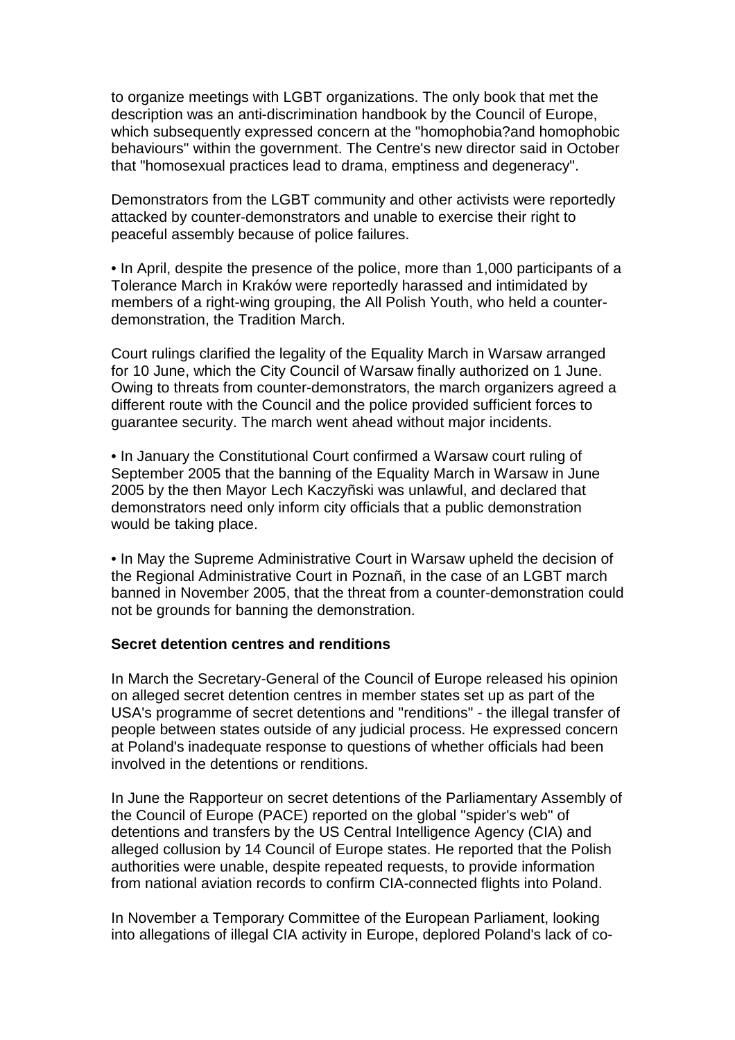to organize meetings with LGBT organizations. The only book that met the description was an anti-discrimination handbook by the Council of Europe, which subsequently expressed concern at the "homophobia?and homophobic behaviours" within the government. The Centre's new director said in October that "homosexual practices lead to drama, emptiness and degeneracy".

Demonstrators from the LGBT community and other activists were reportedly attacked by counter-demonstrators and unable to exercise their right to peaceful assembly because of police failures.

• In April, despite the presence of the police, more than 1,000 participants of a Tolerance March in Kraków were reportedly harassed and intimidated by members of a right-wing grouping, the All Polish Youth, who held a counterdemonstration, the Tradition March.

Court rulings clarified the legality of the Equality March in Warsaw arranged for 10 June, which the City Council of Warsaw finally authorized on 1 June. Owing to threats from counter-demonstrators, the march organizers agreed a different route with the Council and the police provided sufficient forces to guarantee security. The march went ahead without major incidents.

• In January the Constitutional Court confirmed a Warsaw court ruling of September 2005 that the banning of the Equality March in Warsaw in June 2005 by the then Mayor Lech Kaczyñski was unlawful, and declared that demonstrators need only inform city officials that a public demonstration would be taking place.

• In May the Supreme Administrative Court in Warsaw upheld the decision of the Regional Administrative Court in Poznañ, in the case of an LGBT march banned in November 2005, that the threat from a counter-demonstration could not be grounds for banning the demonstration.

#### **Secret detention centres and renditions**

In March the Secretary-General of the Council of Europe released his opinion on alleged secret detention centres in member states set up as part of the USA's programme of secret detentions and "renditions" - the illegal transfer of people between states outside of any judicial process. He expressed concern at Poland's inadequate response to questions of whether officials had been involved in the detentions or renditions.

In June the Rapporteur on secret detentions of the Parliamentary Assembly of the Council of Europe (PACE) reported on the global "spider's web" of detentions and transfers by the US Central Intelligence Agency (CIA) and alleged collusion by 14 Council of Europe states. He reported that the Polish authorities were unable, despite repeated requests, to provide information from national aviation records to confirm CIA-connected flights into Poland.

In November a Temporary Committee of the European Parliament, looking into allegations of illegal CIA activity in Europe, deplored Poland's lack of co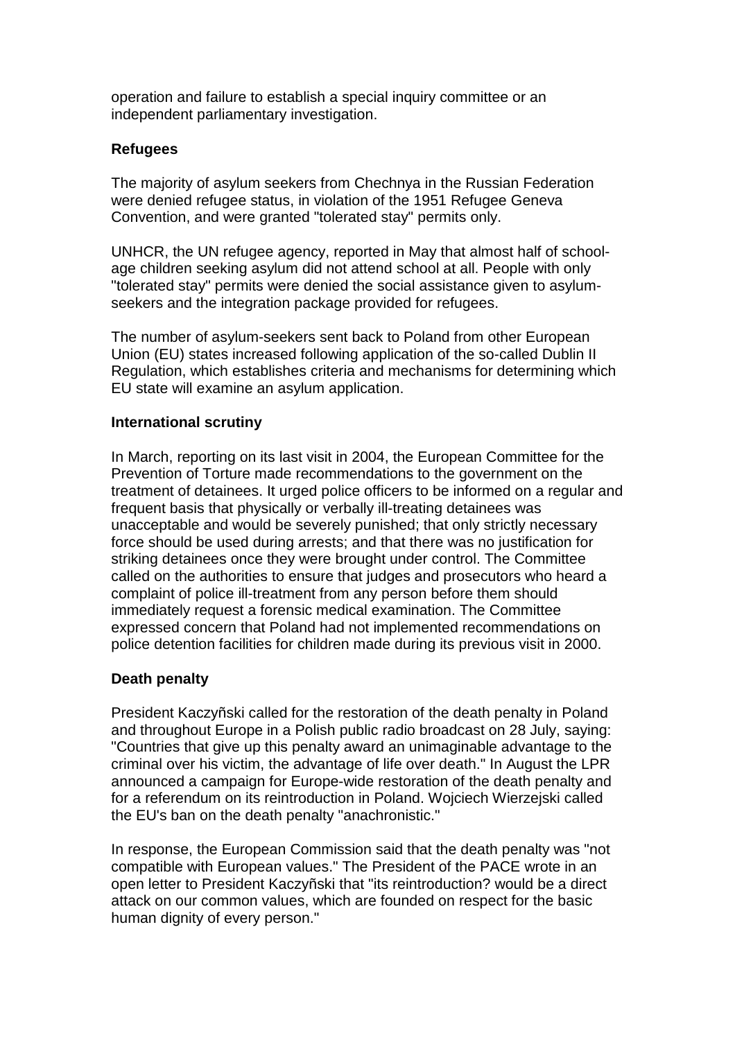operation and failure to establish a special inquiry committee or an independent parliamentary investigation.

# **Refugees**

The majority of asylum seekers from Chechnya in the Russian Federation were denied refugee status, in violation of the 1951 Refugee Geneva Convention, and were granted "tolerated stay" permits only.

UNHCR, the UN refugee agency, reported in May that almost half of schoolage children seeking asylum did not attend school at all. People with only "tolerated stay" permits were denied the social assistance given to asylumseekers and the integration package provided for refugees.

The number of asylum-seekers sent back to Poland from other European Union (EU) states increased following application of the so-called Dublin II Regulation, which establishes criteria and mechanisms for determining which EU state will examine an asylum application.

#### **International scrutiny**

In March, reporting on its last visit in 2004, the European Committee for the Prevention of Torture made recommendations to the government on the treatment of detainees. It urged police officers to be informed on a regular and frequent basis that physically or verbally ill-treating detainees was unacceptable and would be severely punished; that only strictly necessary force should be used during arrests; and that there was no justification for striking detainees once they were brought under control. The Committee called on the authorities to ensure that judges and prosecutors who heard a complaint of police ill-treatment from any person before them should immediately request a forensic medical examination. The Committee expressed concern that Poland had not implemented recommendations on police detention facilities for children made during its previous visit in 2000.

# **Death penalty**

President Kaczyñski called for the restoration of the death penalty in Poland and throughout Europe in a Polish public radio broadcast on 28 July, saying: "Countries that give up this penalty award an unimaginable advantage to the criminal over his victim, the advantage of life over death." In August the LPR announced a campaign for Europe-wide restoration of the death penalty and for a referendum on its reintroduction in Poland. Wojciech Wierzejski called the EU's ban on the death penalty "anachronistic."

In response, the European Commission said that the death penalty was "not compatible with European values." The President of the PACE wrote in an open letter to President Kaczyñski that "its reintroduction? would be a direct attack on our common values, which are founded on respect for the basic human dignity of every person."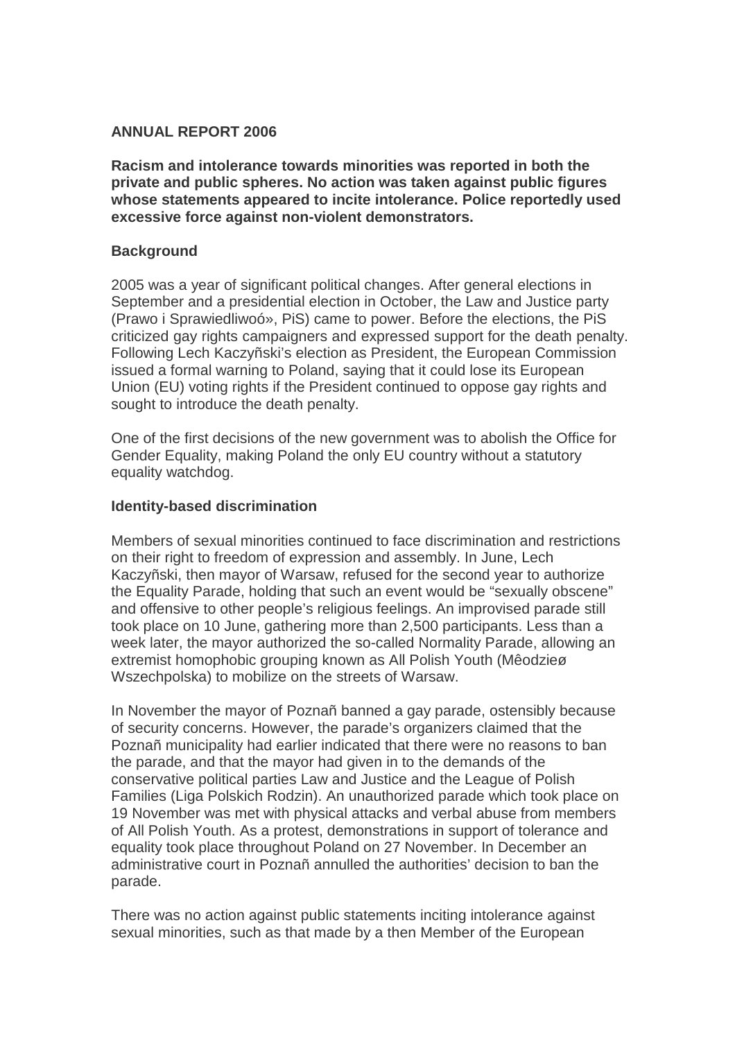#### **ANNUAL REPORT 2006**

**Racism and intolerance towards minorities was reported in both the private and public spheres. No action was taken against public figures whose statements appeared to incite intolerance. Police reportedly used excessive force against non-violent demonstrators.**

#### **Background**

2005 was a year of significant political changes. After general elections in September and a presidential election in October, the Law and Justice party (Prawo i Sprawiedliwoó», PiS) came to power. Before the elections, the PiS criticized gay rights campaigners and expressed support for the death penalty. Following Lech Kaczyñski's election as President, the European Commission issued a formal warning to Poland, saying that it could lose its European Union (EU) voting rights if the President continued to oppose gay rights and sought to introduce the death penalty.

One of the first decisions of the new government was to abolish the Office for Gender Equality, making Poland the only EU country without a statutory equality watchdog.

#### **Identity-based discrimination**

Members of sexual minorities continued to face discrimination and restrictions on their right to freedom of expression and assembly. In June, Lech Kaczyñski, then mayor of Warsaw, refused for the second year to authorize the Equality Parade, holding that such an event would be "sexually obscene" and offensive to other people's religious feelings. An improvised parade still took place on 10 June, gathering more than 2,500 participants. Less than a week later, the mayor authorized the so-called Normality Parade, allowing an extremist homophobic grouping known as All Polish Youth (Mêodzieø Wszechpolska) to mobilize on the streets of Warsaw.

In November the mayor of Poznañ banned a gay parade, ostensibly because of security concerns. However, the parade's organizers claimed that the Poznañ municipality had earlier indicated that there were no reasons to ban the parade, and that the mayor had given in to the demands of the conservative political parties Law and Justice and the League of Polish Families (Liga Polskich Rodzin). An unauthorized parade which took place on 19 November was met with physical attacks and verbal abuse from members of All Polish Youth. As a protest, demonstrations in support of tolerance and equality took place throughout Poland on 27 November. In December an administrative court in Poznañ annulled the authorities' decision to ban the parade.

There was no action against public statements inciting intolerance against sexual minorities, such as that made by a then Member of the European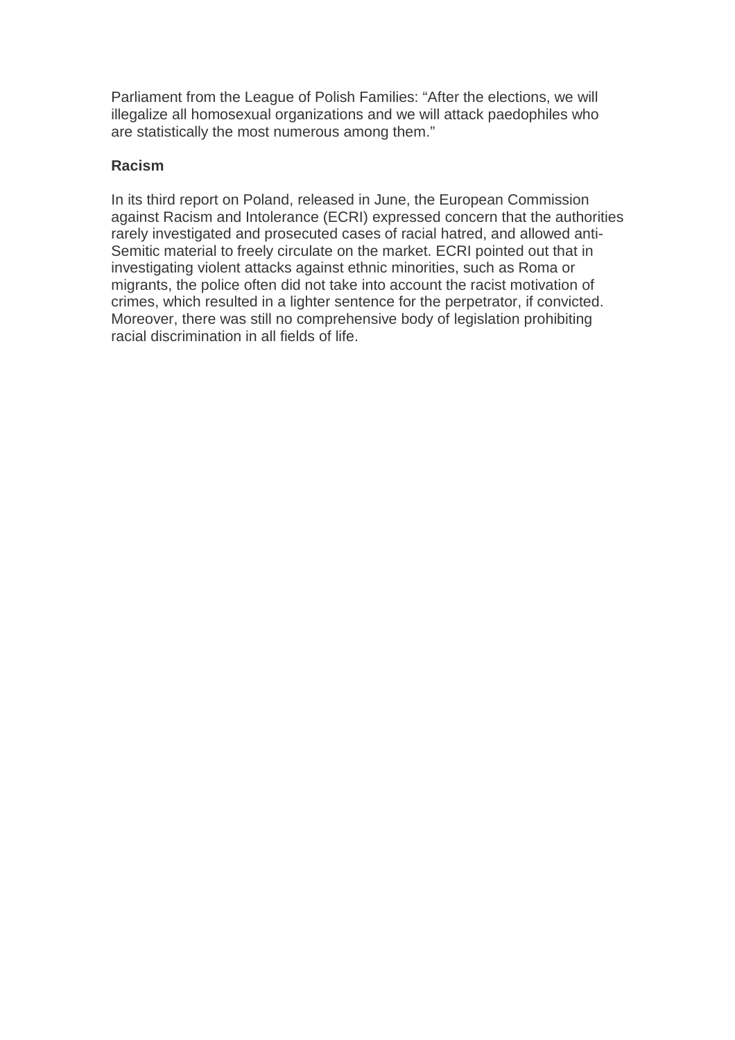Parliament from the League of Polish Families: "After the elections, we will illegalize all homosexual organizations and we will attack paedophiles who are statistically the most numerous among them."

# **Racism**

In its third report on Poland, released in June, the European Commission against Racism and Intolerance (ECRI) expressed concern that the authorities rarely investigated and prosecuted cases of racial hatred, and allowed anti-Semitic material to freely circulate on the market. ECRI pointed out that in investigating violent attacks against ethnic minorities, such as Roma or migrants, the police often did not take into account the racist motivation of crimes, which resulted in a lighter sentence for the perpetrator, if convicted. Moreover, there was still no comprehensive body of legislation prohibiting racial discrimination in all fields of life.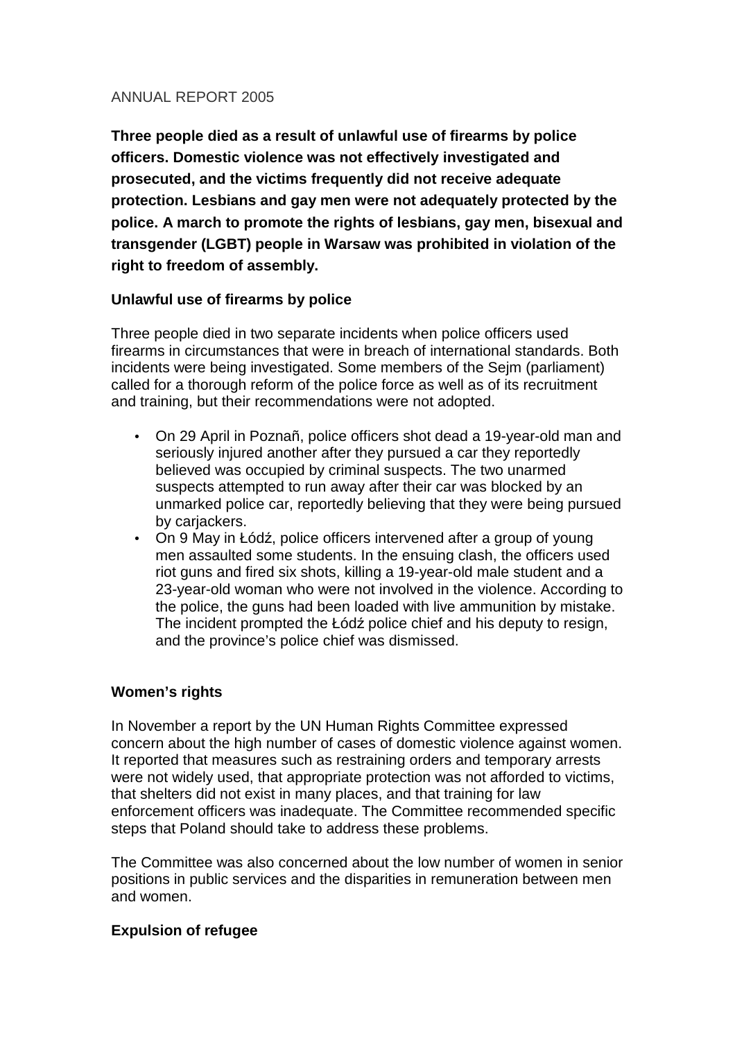# ANNUAL REPORT 2005

**Three people died as a result of unlawful use of firearms by police officers. Domestic violence was not effectively investigated and prosecuted, and the victims frequently did not receive adequate protection. Lesbians and gay men were not adequately protected by the police. A march to promote the rights of lesbians, gay men, bisexual and transgender (LGBT) people in Warsaw was prohibited in violation of the right to freedom of assembly.**

# **Unlawful use of firearms by police**

Three people died in two separate incidents when police officers used firearms in circumstances that were in breach of international standards. Both incidents were being investigated. Some members of the Sejm (parliament) called for a thorough reform of the police force as well as of its recruitment and training, but their recommendations were not adopted.

- On 29 April in Poznañ, police officers shot dead a 19-year-old man and seriously injured another after they pursued a car they reportedly believed was occupied by criminal suspects. The two unarmed suspects attempted to run away after their car was blocked by an unmarked police car, reportedly believing that they were being pursued by carjackers.
- On 9 May in Łódź, police officers intervened after a group of young men assaulted some students. In the ensuing clash, the officers used riot guns and fired six shots, killing a 19-year-old male student and a 23-year-old woman who were not involved in the violence. According to the police, the guns had been loaded with live ammunition by mistake. The incident prompted the Łódź police chief and his deputy to resign, and the province's police chief was dismissed.

#### **Women's rights**

In November a report by the UN Human Rights Committee expressed concern about the high number of cases of domestic violence against women. It reported that measures such as restraining orders and temporary arrests were not widely used, that appropriate protection was not afforded to victims, that shelters did not exist in many places, and that training for law enforcement officers was inadequate. The Committee recommended specific steps that Poland should take to address these problems.

The Committee was also concerned about the low number of women in senior positions in public services and the disparities in remuneration between men and women.

#### **Expulsion of refugee**